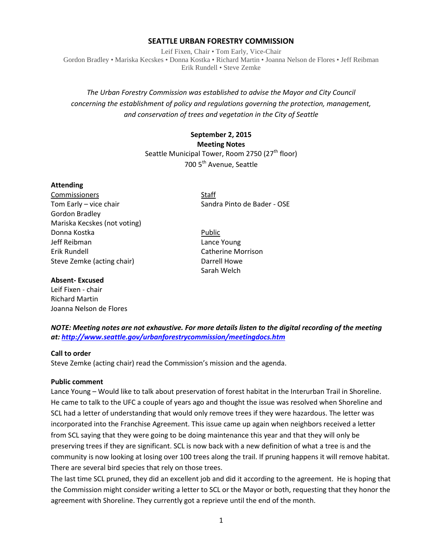## **SEATTLE URBAN FORESTRY COMMISSION**

Leif Fixen, Chair • Tom Early, Vice-Chair Gordon Bradley • Mariska Kecskes • Donna Kostka • Richard Martin • Joanna Nelson de Flores • Jeff Reibman Erik Rundell • Steve Zemke

# *The Urban Forestry Commission was established to advise the Mayor and City Council concerning the establishment of policy and regulations governing the protection, management, and conservation of trees and vegetation in the City of Seattle*

# **September 2, 2015 Meeting Notes** Seattle Municipal Tower, Room 2750 (27<sup>th</sup> floor) 700 5<sup>th</sup> Avenue, Seattle

### **Attending**

**Commissioners** Staff Tom Early – vice chair Sandra Pinto de Bader - OSE Gordon Bradley Mariska Kecskes (not voting) Donna Kostka Public Jeff Reibman Lance Young Erik Rundell Catherine Morrison Steve Zemke (acting chair) Darrell Howe

#### **Absent- Excused**

Leif Fixen - chair Richard Martin Joanna Nelson de Flores

Sarah Welch

## *NOTE: Meeting notes are not exhaustive. For more details listen to the digital recording of the meeting at:<http://www.seattle.gov/urbanforestrycommission/meetingdocs.htm>*

#### **Call to order**

Steve Zemke (acting chair) read the Commission's mission and the agenda.

#### **Public comment**

Lance Young – Would like to talk about preservation of forest habitat in the Interurban Trail in Shoreline. He came to talk to the UFC a couple of years ago and thought the issue was resolved when Shoreline and SCL had a letter of understanding that would only remove trees if they were hazardous. The letter was incorporated into the Franchise Agreement. This issue came up again when neighbors received a letter from SCL saying that they were going to be doing maintenance this year and that they will only be preserving trees if they are significant. SCL is now back with a new definition of what a tree is and the community is now looking at losing over 100 trees along the trail. If pruning happens it will remove habitat. There are several bird species that rely on those trees.

The last time SCL pruned, they did an excellent job and did it according to the agreement. He is hoping that the Commission might consider writing a letter to SCL or the Mayor or both, requesting that they honor the agreement with Shoreline. They currently got a reprieve until the end of the month.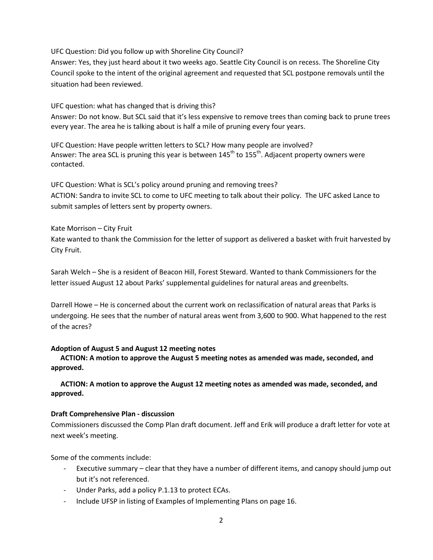UFC Question: Did you follow up with Shoreline City Council?

Answer: Yes, they just heard about it two weeks ago. Seattle City Council is on recess. The Shoreline City Council spoke to the intent of the original agreement and requested that SCL postpone removals until the situation had been reviewed.

UFC question: what has changed that is driving this?

Answer: Do not know. But SCL said that it's less expensive to remove trees than coming back to prune trees every year. The area he is talking about is half a mile of pruning every four years.

UFC Question: Have people written letters to SCL? How many people are involved? Answer: The area SCL is pruning this year is between 145<sup>th</sup> to 155<sup>th</sup>. Adjacent property owners were contacted.

UFC Question: What is SCL's policy around pruning and removing trees? ACTION: Sandra to invite SCL to come to UFC meeting to talk about their policy. The UFC asked Lance to submit samples of letters sent by property owners.

### Kate Morrison – City Fruit

Kate wanted to thank the Commission for the letter of support as delivered a basket with fruit harvested by City Fruit.

Sarah Welch – She is a resident of Beacon Hill, Forest Steward. Wanted to thank Commissioners for the letter issued August 12 about Parks' supplemental guidelines for natural areas and greenbelts.

Darrell Howe – He is concerned about the current work on reclassification of natural areas that Parks is undergoing. He sees that the number of natural areas went from 3,600 to 900. What happened to the rest of the acres?

#### **Adoption of August 5 and August 12 meeting notes**

**ACTION: A motion to approve the August 5 meeting notes as amended was made, seconded, and approved.** 

**ACTION: A motion to approve the August 12 meeting notes as amended was made, seconded, and approved.**

#### **Draft Comprehensive Plan - discussion**

Commissioners discussed the Comp Plan draft document. Jeff and Erik will produce a draft letter for vote at next week's meeting.

Some of the comments include:

- Executive summary clear that they have a number of different items, and canopy should jump out but it's not referenced.
- Under Parks, add a policy P.1.13 to protect ECAs.
- Include UFSP in listing of Examples of Implementing Plans on page 16.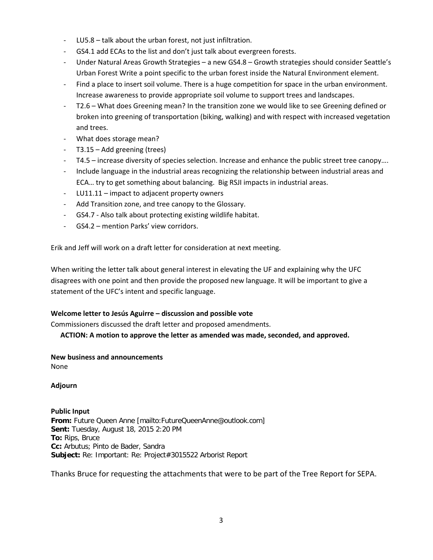- LU5.8 talk about the urban forest, not just infiltration.
- GS4.1 add ECAs to the list and don't just talk about evergreen forests.
- Under Natural Areas Growth Strategies a new GS4.8 Growth strategies should consider Seattle's Urban Forest Write a point specific to the urban forest inside the Natural Environment element.
- Find a place to insert soil volume. There is a huge competition for space in the urban environment. Increase awareness to provide appropriate soil volume to support trees and landscapes.
- T2.6 What does Greening mean? In the transition zone we would like to see Greening defined or broken into greening of transportation (biking, walking) and with respect with increased vegetation and trees.
- What does storage mean?
- T3.15 Add greening (trees)
- T4.5 increase diversity of species selection. Increase and enhance the public street tree canopy….
- Include language in the industrial areas recognizing the relationship between industrial areas and ECA… try to get something about balancing. Big RSJI impacts in industrial areas.
- LU11.11 impact to adjacent property owners
- Add Transition zone, and tree canopy to the Glossary.
- GS4.7 Also talk about protecting existing wildlife habitat.
- GS4.2 mention Parks' view corridors.

Erik and Jeff will work on a draft letter for consideration at next meeting.

When writing the letter talk about general interest in elevating the UF and explaining why the UFC disagrees with one point and then provide the proposed new language. It will be important to give a statement of the UFC's intent and specific language.

## **Welcome letter to Jesús Aguirre – discussion and possible vote**

Commissioners discussed the draft letter and proposed amendments.

**ACTION: A motion to approve the letter as amended was made, seconded, and approved.**

#### **New business and announcements**

None

**Adjourn**

**Public Input From:** Future Queen Anne [mailto:FutureQueenAnne@outlook.com] **Sent:** Tuesday, August 18, 2015 2:20 PM **To:** Rips, Bruce **Cc:** Arbutus; Pinto de Bader, Sandra **Subject:** Re: Important: Re: Project#3015522 Arborist Report

Thanks Bruce for requesting the attachments that were to be part of the Tree Report for SEPA.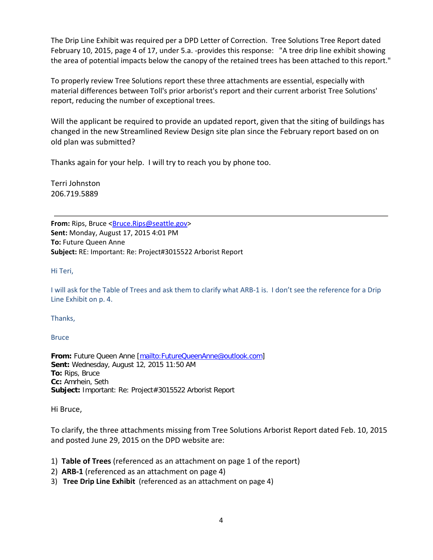The Drip Line Exhibit was required per a DPD Letter of Correction. Tree Solutions Tree Report dated February 10, 2015, page 4 of 17, under 5.a. -provides this response: "A tree drip line exhibit showing the area of potential impacts below the canopy of the retained trees has been attached to this report."

To properly review Tree Solutions report these three attachments are essential, especially with material differences between Toll's prior arborist's report and their current arborist Tree Solutions' report, reducing the number of exceptional trees.

Will the applicant be required to provide an updated report, given that the siting of buildings has changed in the new Streamlined Review Design site plan since the February report based on on old plan was submitted?

Thanks again for your help. I will try to reach you by phone too.

Terri Johnston 206.719.5889

**From:** Rips, Bruce [<Bruce.Rips@seattle.gov>](mailto:Bruce.Rips@seattle.gov) **Sent:** Monday, August 17, 2015 4:01 PM **To:** Future Queen Anne **Subject:** RE: Important: Re: Project#3015522 Arborist Report

Hi Teri,

I will ask for the Table of Trees and ask them to clarify what ARB-1 is. I don't see the reference for a Drip Line Exhibit on p. 4.

Thanks,

**Bruce** 

**From:** Future Queen Anne [\[mailto:FutureQueenAnne@outlook.com\]](mailto:FutureQueenAnne@outlook.com) **Sent:** Wednesday, August 12, 2015 11:50 AM **To:** Rips, Bruce **Cc:** Amrhein, Seth **Subject:** Important: Re: Project#3015522 Arborist Report

Hi Bruce,

To clarify, the three attachments missing from Tree Solutions Arborist Report dated Feb. 10, 2015 and posted June 29, 2015 on the DPD website are:

- 1) **Table of Trees** (referenced as an attachment on page 1 of the report)
- 2) **ARB-1** (referenced as an attachment on page 4)
- 3) **Tree Drip Line Exhibit** (referenced as an attachment on page 4)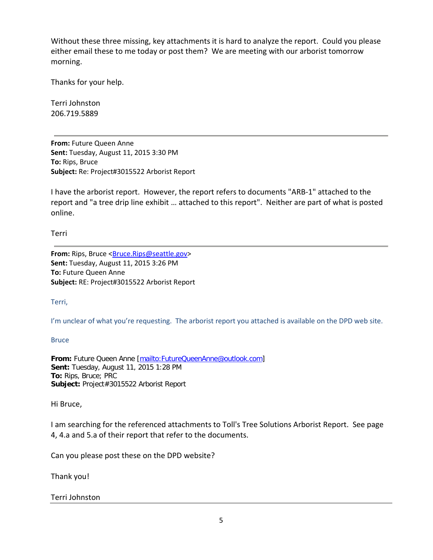Without these three missing, key attachments it is hard to analyze the report. Could you please either email these to me today or post them? We are meeting with our arborist tomorrow morning.

Thanks for your help.

Terri Johnston 206.719.5889

**From:** Future Queen Anne **Sent:** Tuesday, August 11, 2015 3:30 PM **To:** Rips, Bruce **Subject:** Re: Project#3015522 Arborist Report

I have the arborist report. However, the report refers to documents "ARB-1" attached to the report and "a tree drip line exhibit … attached to this report". Neither are part of what is posted online.

Terri

**From:** Rips, Bruce [<Bruce.Rips@seattle.gov>](mailto:Bruce.Rips@seattle.gov) **Sent:** Tuesday, August 11, 2015 3:26 PM **To:** Future Queen Anne **Subject:** RE: Project#3015522 Arborist Report

Terri,

I'm unclear of what you're requesting. The arborist report you attached is available on the DPD web site.

**Bruce** 

**From:** Future Queen Anne [\[mailto:FutureQueenAnne@outlook.com\]](mailto:FutureQueenAnne@outlook.com) **Sent:** Tuesday, August 11, 2015 1:28 PM **To:** Rips, Bruce; PRC Subject: Project#3015522 Arborist Report

Hi Bruce,

I am searching for the referenced attachments to Toll's Tree Solutions Arborist Report. See page 4, 4.a and 5.a of their report that refer to the documents.

Can you please post these on the DPD website?

Thank you!

Terri Johnston